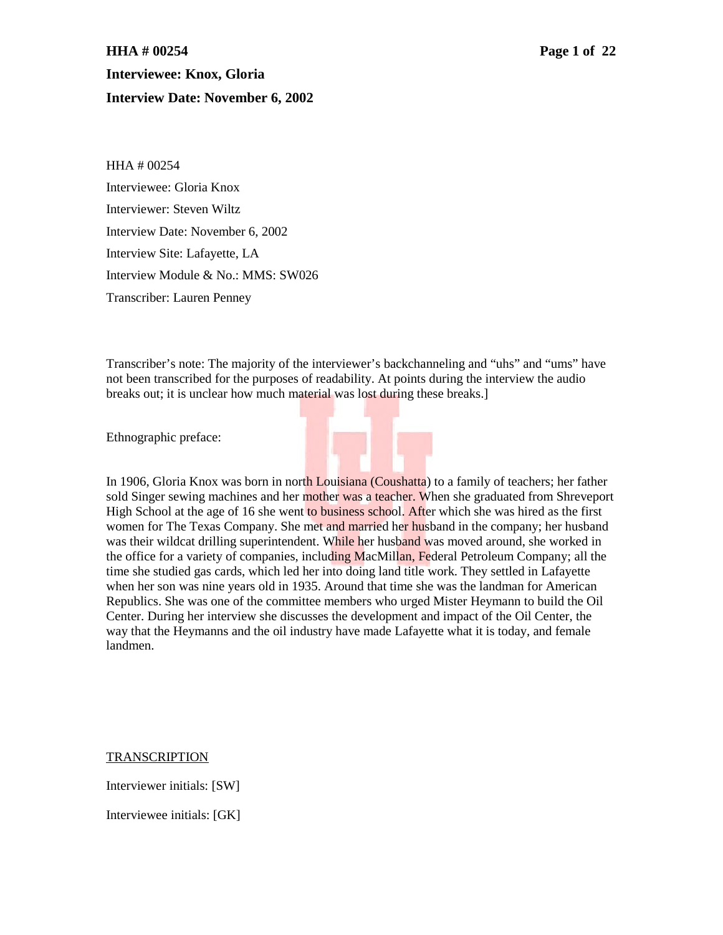# **HHA # 00254 Page 1 of 22 Interviewee: Knox, Gloria Interview Date: November 6, 2002**

HHA # 00254 Interviewee: Gloria Knox Interviewer: Steven Wiltz Interview Date: November 6, 2002 Interview Site: Lafayette, LA Interview Module & No.: MMS: SW026 Transcriber: Lauren Penney

Transcriber's note: The majority of the interviewer's backchanneling and "uhs" and "ums" have not been transcribed for the purposes of readability. At points during the interview the audio breaks out; it is unclear how much material was lost during these breaks.]

Ethnographic preface:

In 1906, Gloria Knox was born in north Louisiana (Coushatta) to a family of teachers; her father sold Singer sewing machines and her mother was a teacher. When she graduated from Shreveport High School at the age of 16 she went to business school. After which she was hired as the first women for The Texas Company. She met and married her husband in the company; her husband was their wildcat drilling superintendent. While her husband was moved around, she worked in the office for a variety of companies, including MacMillan, Federal Petroleum Company; all the time she studied gas cards, which led her into doing land title work. They settled in Lafayette when her son was nine years old in 1935. Around that time she was the landman for American Republics. She was one of the committee members who urged Mister Heymann to build the Oil Center. During her interview she discusses the development and impact of the Oil Center, the way that the Heymanns and the oil industry have made Lafayette what it is today, and female landmen.

TRANSCRIPTION

Interviewer initials: [SW]

Interviewee initials: [GK]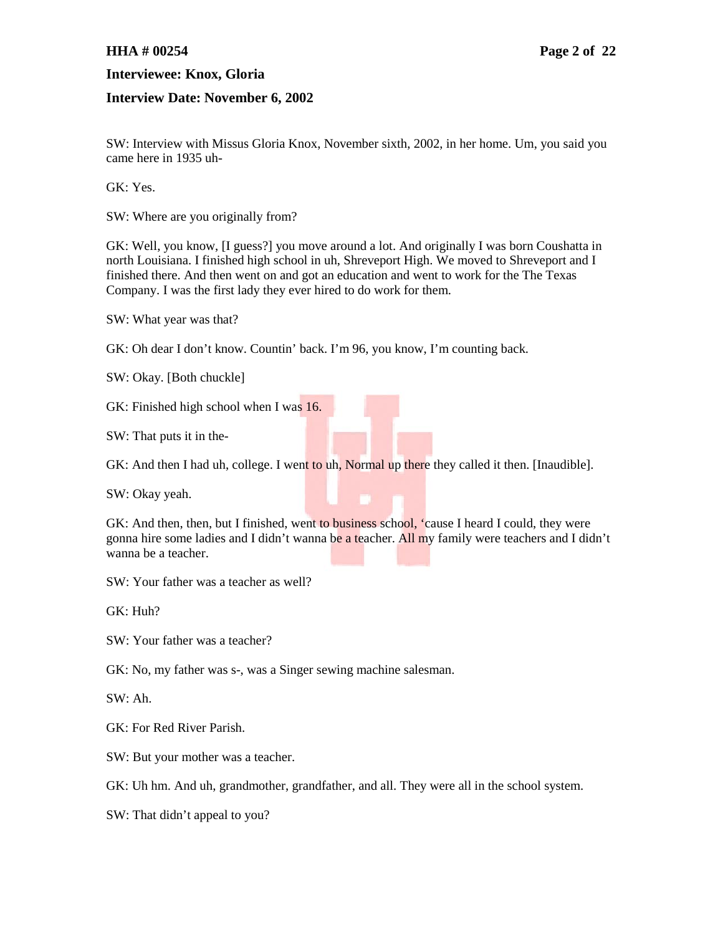### **HHA # 00254 Page 2 of 22**

#### **Interviewee: Knox, Gloria**

#### **Interview Date: November 6, 2002**

SW: Interview with Missus Gloria Knox, November sixth, 2002, in her home. Um, you said you came here in 1935 uh-

GK: Yes.

SW: Where are you originally from?

GK: Well, you know, [I guess?] you move around a lot. And originally I was born Coushatta in north Louisiana. I finished high school in uh, Shreveport High. We moved to Shreveport and I finished there. And then went on and got an education and went to work for the The Texas Company. I was the first lady they ever hired to do work for them.

SW: What year was that?

GK: Oh dear I don't know. Countin' back. I'm 96, you know, I'm counting back.

SW: Okay. [Both chuckle]

GK: Finished high school when I was 16.

SW: That puts it in the-

GK: And then I had uh, college. I went to uh, Normal up there they called it then. [Inaudible].

SW: Okay yeah.

GK: And then, then, but I finished, went to business school, 'cause I heard I could, they were gonna hire some ladies and I didn't wanna be a teacher. All my family were teachers and I didn't wanna be a teacher.

SW: Your father was a teacher as well?

GK: Huh?

SW: Your father was a teacher?

GK: No, my father was s-, was a Singer sewing machine salesman.

SW: Ah.

GK: For Red River Parish.

SW: But your mother was a teacher.

GK: Uh hm. And uh, grandmother, grandfather, and all. They were all in the school system.

SW: That didn't appeal to you?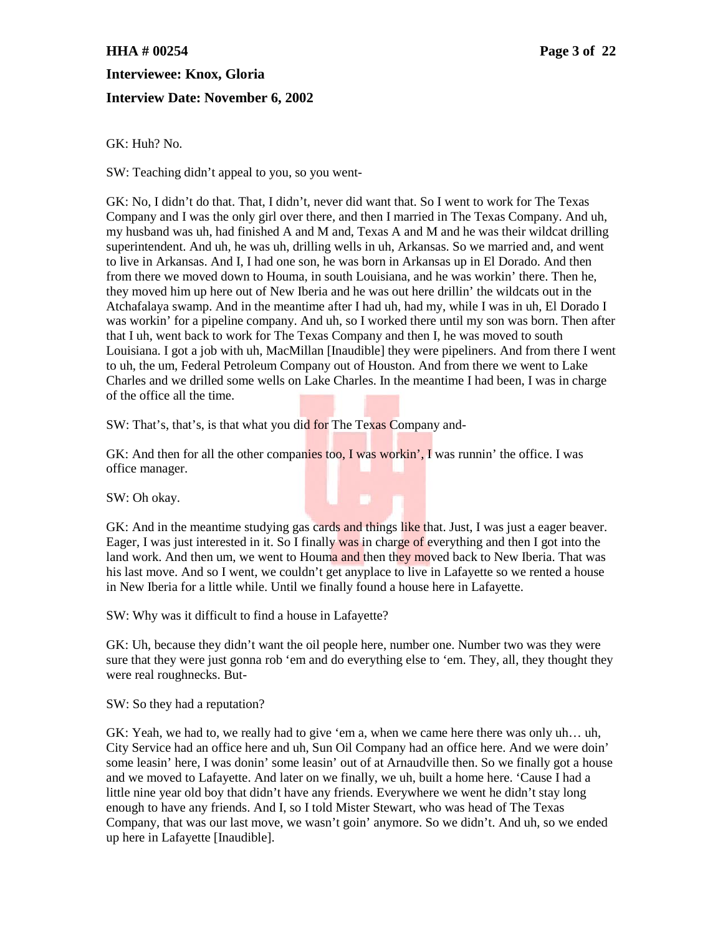## **HHA # 00254 Page 3 of 22**

### **Interviewee: Knox, Gloria**

### **Interview Date: November 6, 2002**

GK: Huh? No.

SW: Teaching didn't appeal to you, so you went-

GK: No, I didn't do that. That, I didn't, never did want that. So I went to work for The Texas Company and I was the only girl over there, and then I married in The Texas Company. And uh, my husband was uh, had finished A and M and, Texas A and M and he was their wildcat drilling superintendent. And uh, he was uh, drilling wells in uh, Arkansas. So we married and, and went to live in Arkansas. And I, I had one son, he was born in Arkansas up in El Dorado. And then from there we moved down to Houma, in south Louisiana, and he was workin' there. Then he, they moved him up here out of New Iberia and he was out here drillin' the wildcats out in the Atchafalaya swamp. And in the meantime after I had uh, had my, while I was in uh, El Dorado I was workin' for a pipeline company. And uh, so I worked there until my son was born. Then after that I uh, went back to work for The Texas Company and then I, he was moved to south Louisiana. I got a job with uh, MacMillan [Inaudible] they were pipeliners. And from there I went to uh, the um, Federal Petroleum Company out of Houston. And from there we went to Lake Charles and we drilled some wells on Lake Charles. In the meantime I had been, I was in charge of the office all the time.

SW: That's, that's, is that what you did for The Texas Company and-

GK: And then for all the other companies too, I was workin', I was runnin' the office. I was office manager.

SW: Oh okay.

GK: And in the meantime studying gas cards and things like that. Just, I was just a eager beaver. Eager, I was just interested in it. So I finally was in charge of everything and then I got into the land work. And then um, we went to Houma and then they moved back to New Iberia. That was his last move. And so I went, we couldn't get anyplace to live in Lafayette so we rented a house in New Iberia for a little while. Until we finally found a house here in Lafayette.

SW: Why was it difficult to find a house in Lafayette?

GK: Uh, because they didn't want the oil people here, number one. Number two was they were sure that they were just gonna rob 'em and do everything else to 'em. They, all, they thought they were real roughnecks. But-

SW: So they had a reputation?

GK: Yeah, we had to, we really had to give 'em a, when we came here there was only uh… uh, City Service had an office here and uh, Sun Oil Company had an office here. And we were doin' some leasin' here, I was donin' some leasin' out of at Arnaudville then. So we finally got a house and we moved to Lafayette. And later on we finally, we uh, built a home here. 'Cause I had a little nine year old boy that didn't have any friends. Everywhere we went he didn't stay long enough to have any friends. And I, so I told Mister Stewart, who was head of The Texas Company, that was our last move, we wasn't goin' anymore. So we didn't. And uh, so we ended up here in Lafayette [Inaudible].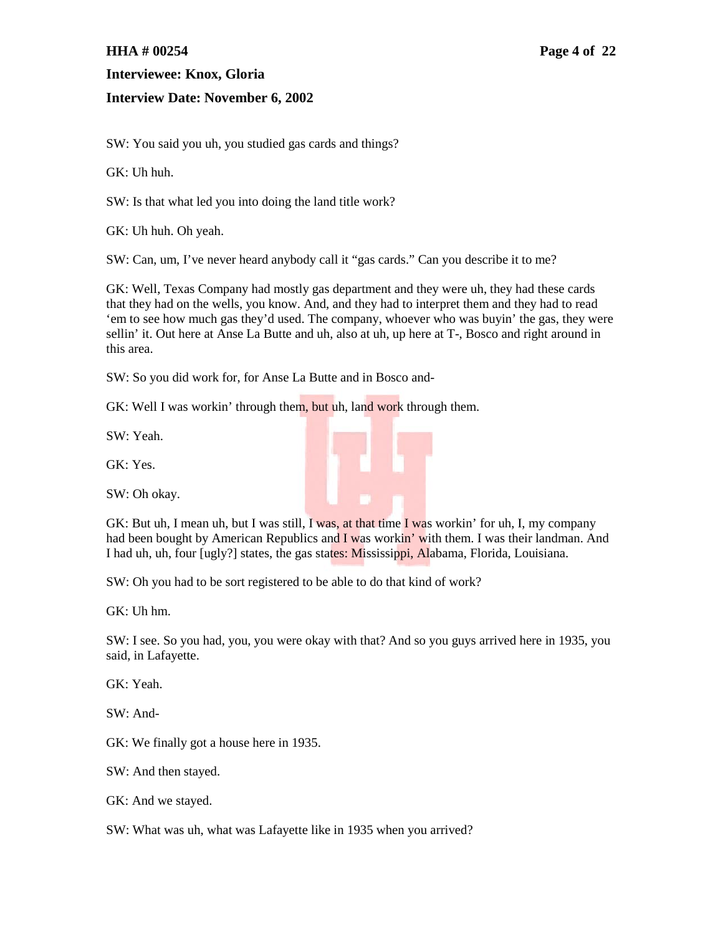### **HHA # 00254 Page 4 of 22**

### **Interviewee: Knox, Gloria**

### **Interview Date: November 6, 2002**

SW: You said you uh, you studied gas cards and things?

GK: Uh huh.

SW: Is that what led you into doing the land title work?

GK: Uh huh. Oh yeah.

SW: Can, um, I've never heard anybody call it "gas cards." Can you describe it to me?

GK: Well, Texas Company had mostly gas department and they were uh, they had these cards that they had on the wells, you know. And, and they had to interpret them and they had to read 'em to see how much gas they'd used. The company, whoever who was buyin' the gas, they were sellin' it. Out here at Anse La Butte and uh, also at uh, up here at T-, Bosco and right around in this area.

SW: So you did work for, for Anse La Butte and in Bosco and-

GK: Well I was workin' through them, but uh, land work through them.

SW: Yeah.

GK: Yes.

SW: Oh okay.



SW: Oh you had to be sort registered to be able to do that kind of work?

GK: Uh hm.

SW: I see. So you had, you, you were okay with that? And so you guys arrived here in 1935, you said, in Lafayette.

GK: Yeah.

SW: And-

GK: We finally got a house here in 1935.

SW: And then stayed.

GK: And we stayed.

SW: What was uh, what was Lafayette like in 1935 when you arrived?

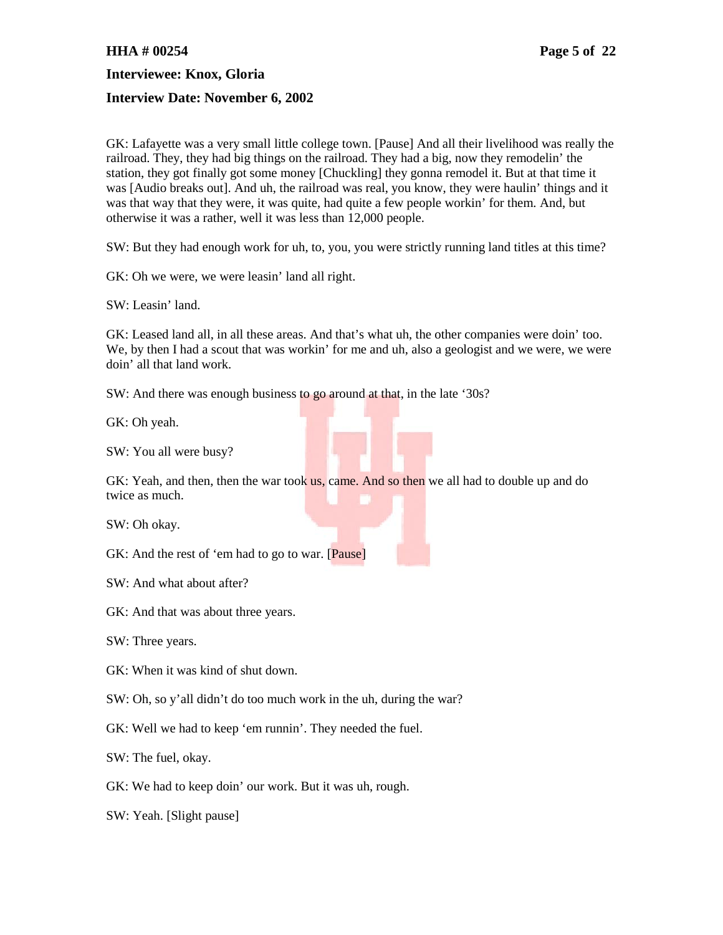#### **HHA # 00254 Page 5 of 22**

**Interviewee: Knox, Gloria**

#### **Interview Date: November 6, 2002**

GK: Lafayette was a very small little college town. [Pause] And all their livelihood was really the railroad. They, they had big things on the railroad. They had a big, now they remodelin' the station, they got finally got some money [Chuckling] they gonna remodel it. But at that time it was [Audio breaks out]. And uh, the railroad was real, you know, they were haulin' things and it was that way that they were, it was quite, had quite a few people workin' for them. And, but otherwise it was a rather, well it was less than 12,000 people.

SW: But they had enough work for uh, to, you, you were strictly running land titles at this time?

GK: Oh we were, we were leasin' land all right.

SW: Leasin' land.

GK: Leased land all, in all these areas. And that's what uh, the other companies were doin' too. We, by then I had a scout that was workin' for me and uh, also a geologist and we were, we were doin' all that land work.

SW: And there was enough business to go around at that, in the late '30s?

GK: Oh yeah.

SW: You all were busy?

GK: Yeah, and then, then the war took us, came. And so then we all had to double up and do twice as much.

SW: Oh okay.

GK: And the rest of 'em had to go to war. [Pause]

SW: And what about after?

GK: And that was about three years.

SW: Three years.

GK: When it was kind of shut down.

SW: Oh, so y'all didn't do too much work in the uh, during the war?

GK: Well we had to keep 'em runnin'. They needed the fuel.

SW: The fuel, okay.

GK: We had to keep doin' our work. But it was uh, rough.

SW: Yeah. [Slight pause]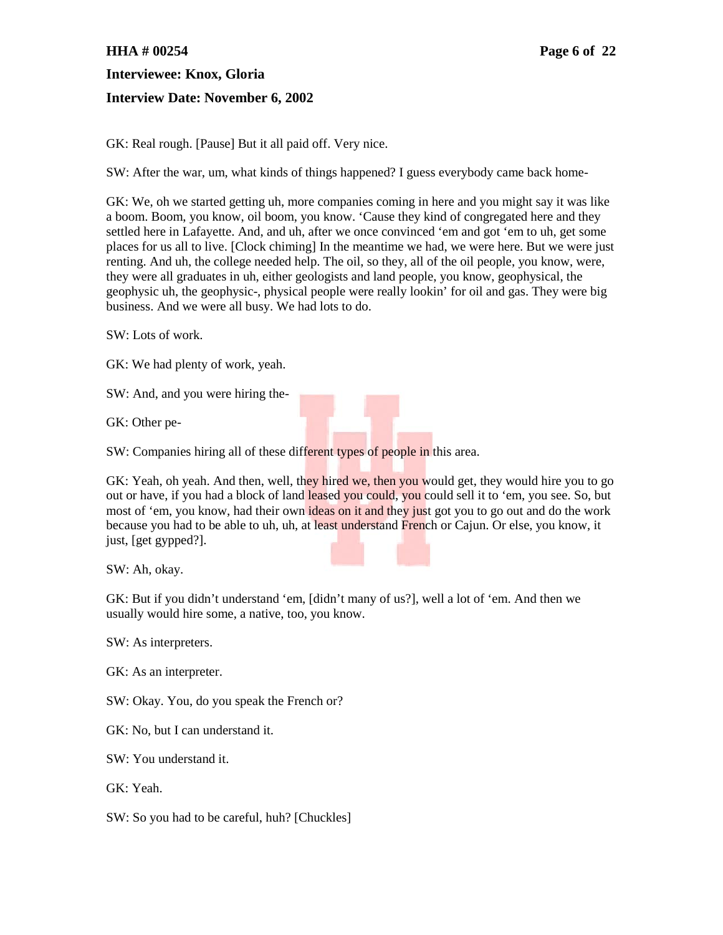## **HHA # 00254 Page 6 of 22**

**Interviewee: Knox, Gloria Interview Date: November 6, 2002**

GK: Real rough. [Pause] But it all paid off. Very nice.

SW: After the war, um, what kinds of things happened? I guess everybody came back home-

GK: We, oh we started getting uh, more companies coming in here and you might say it was like a boom. Boom, you know, oil boom, you know. 'Cause they kind of congregated here and they settled here in Lafayette. And, and uh, after we once convinced 'em and got 'em to uh, get some places for us all to live. [Clock chiming] In the meantime we had, we were here. But we were just renting. And uh, the college needed help. The oil, so they, all of the oil people, you know, were, they were all graduates in uh, either geologists and land people, you know, geophysical, the geophysic uh, the geophysic-, physical people were really lookin' for oil and gas. They were big business. And we were all busy. We had lots to do.

SW: Lots of work.

GK: We had plenty of work, yeah.

SW: And, and you were hiring the-

GK: Other pe-

SW: Companies hiring all of these different types of people in this area.

GK: Yeah, oh yeah. And then, well, they hired we, then you would get, they would hire you to go out or have, if you had a block of land leased you could, you could sell it to 'em, you see. So, but most of 'em, you know, had their own ideas on it and they just got you to go out and do the work because you had to be able to uh, uh, at least understand French or Cajun. Or else, you know, it just, [get gypped?].

SW: Ah, okay.

GK: But if you didn't understand 'em, [didn't many of us?], well a lot of 'em. And then we usually would hire some, a native, too, you know.

SW: As interpreters.

GK: As an interpreter.

SW: Okay. You, do you speak the French or?

GK: No, but I can understand it.

SW: You understand it.

GK: Yeah.

SW: So you had to be careful, huh? [Chuckles]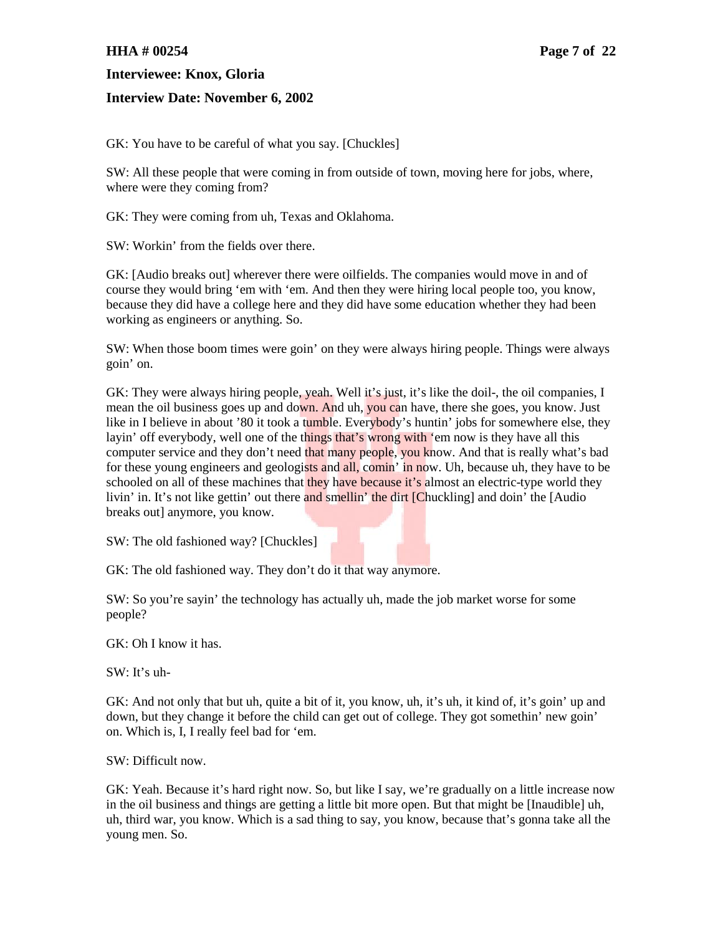### **HHA # 00254 Page 7 of 22**

**Interviewee: Knox, Gloria**

### **Interview Date: November 6, 2002**

GK: You have to be careful of what you say. [Chuckles]

SW: All these people that were coming in from outside of town, moving here for jobs, where, where were they coming from?

GK: They were coming from uh, Texas and Oklahoma.

SW: Workin' from the fields over there.

GK: [Audio breaks out] wherever there were oilfields. The companies would move in and of course they would bring 'em with 'em. And then they were hiring local people too, you know, because they did have a college here and they did have some education whether they had been working as engineers or anything. So.

SW: When those boom times were goin' on they were always hiring people. Things were always goin' on.

GK: They were always hiring people, yeah. Well it's just, it's like the doil-, the oil companies, I mean the oil business goes up and down. And uh, you can have, there she goes, you know. Just like in I believe in about '80 it took a tumble. Everybody's huntin' jobs for somewhere else, they layin' off everybody, well one of the things that's wrong with 'em now is they have all this computer service and they don't need that many people, you know. And that is really what's bad for these young engineers and geologists and all, comin' in now. Uh, because uh, they have to be schooled on all of these machines that they have because it's almost an electric-type world they livin' in. It's not like gettin' out there and smellin' the dirt [Chuckling] and doin' the [Audio] breaks out] anymore, you know.

SW: The old fashioned way? [Chuckles]

GK: The old fashioned way. They don't do it that way anymore.

SW: So you're sayin' the technology has actually uh, made the job market worse for some people?

GK: Oh I know it has.

SW: It's uh-

GK: And not only that but uh, quite a bit of it, you know, uh, it's uh, it kind of, it's goin' up and down, but they change it before the child can get out of college. They got somethin' new goin' on. Which is, I, I really feel bad for 'em.

SW: Difficult now.

GK: Yeah. Because it's hard right now. So, but like I say, we're gradually on a little increase now in the oil business and things are getting a little bit more open. But that might be [Inaudible] uh, uh, third war, you know. Which is a sad thing to say, you know, because that's gonna take all the young men. So.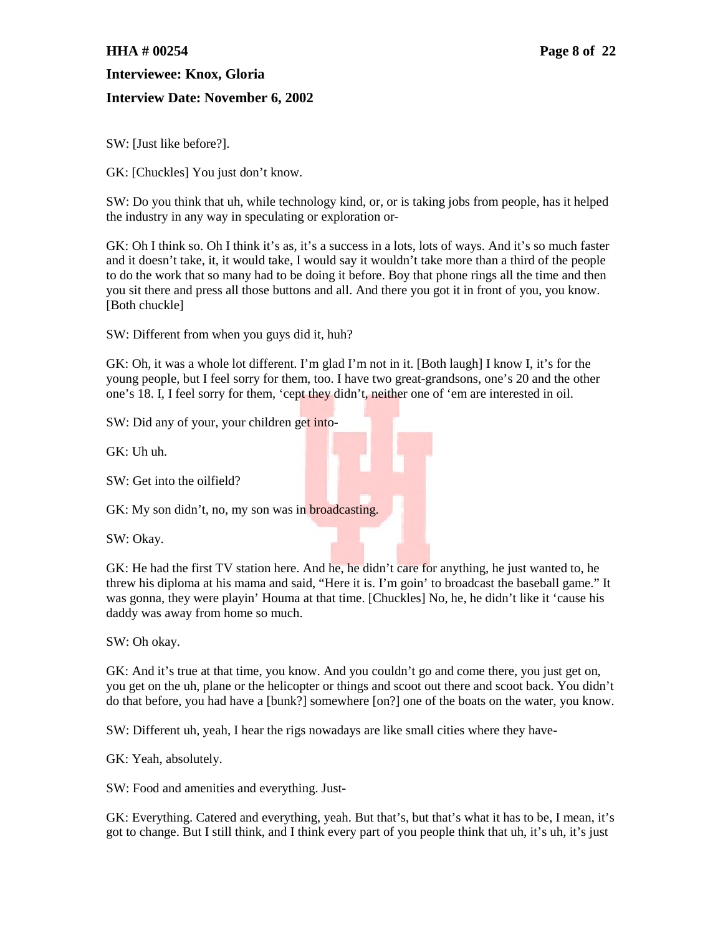### **HHA # 00254 Page 8 of 22**

#### **Interviewee: Knox, Gloria**

### **Interview Date: November 6, 2002**

SW: [Just like before?].

GK: [Chuckles] You just don't know.

SW: Do you think that uh, while technology kind, or, or is taking jobs from people, has it helped the industry in any way in speculating or exploration or-

GK: Oh I think so. Oh I think it's as, it's a success in a lots, lots of ways. And it's so much faster and it doesn't take, it, it would take, I would say it wouldn't take more than a third of the people to do the work that so many had to be doing it before. Boy that phone rings all the time and then you sit there and press all those buttons and all. And there you got it in front of you, you know. [Both chuckle]

SW: Different from when you guys did it, huh?

GK: Oh, it was a whole lot different. I'm glad I'm not in it. [Both laugh] I know I, it's for the young people, but I feel sorry for them, too. I have two great-grandsons, one's 20 and the other one's 18. I, I feel sorry for them, 'cept they didn't, neither one of 'em are interested in oil.

SW: Did any of your, your children get into-

GK: Uh uh.

SW: Get into the oilfield?

GK: My son didn't, no, my son was in **broadcasting**.

SW: Okay.

GK: He had the first TV station here. And he, he didn't care for anything, he just wanted to, he threw his diploma at his mama and said, "Here it is. I'm goin' to broadcast the baseball game." It was gonna, they were playin' Houma at that time. [Chuckles] No, he, he didn't like it 'cause his daddy was away from home so much.

SW: Oh okay.

GK: And it's true at that time, you know. And you couldn't go and come there, you just get on, you get on the uh, plane or the helicopter or things and scoot out there and scoot back. You didn't do that before, you had have a [bunk?] somewhere [on?] one of the boats on the water, you know.

SW: Different uh, yeah, I hear the rigs nowadays are like small cities where they have-

GK: Yeah, absolutely.

SW: Food and amenities and everything. Just-

GK: Everything. Catered and everything, yeah. But that's, but that's what it has to be, I mean, it's got to change. But I still think, and I think every part of you people think that uh, it's uh, it's just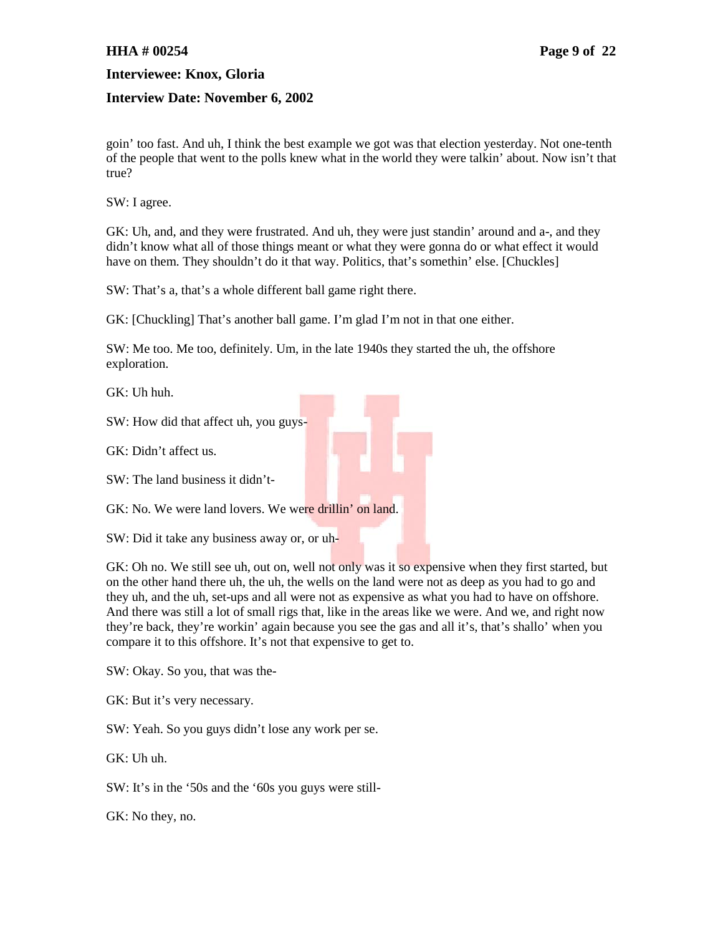### **HHA # 00254 Page 9 of 22**

**Interviewee: Knox, Gloria**

#### **Interview Date: November 6, 2002**

goin' too fast. And uh, I think the best example we got was that election yesterday. Not one-tenth of the people that went to the polls knew what in the world they were talkin' about. Now isn't that true?

SW: I agree.

GK: Uh, and, and they were frustrated. And uh, they were just standin' around and a-, and they didn't know what all of those things meant or what they were gonna do or what effect it would have on them. They shouldn't do it that way. Politics, that's somethin' else. [Chuckles]

SW: That's a, that's a whole different ball game right there.

GK: [Chuckling] That's another ball game. I'm glad I'm not in that one either.

SW: Me too. Me too, definitely. Um, in the late 1940s they started the uh, the offshore exploration.

GK: Uh huh.

SW: How did that affect uh, you guys-

GK: Didn't affect us.

SW: The land business it didn't-

GK: No. We were land lovers. We were drillin' on land.

SW: Did it take any business away or, or uh-

GK: Oh no. We still see uh, out on, well not only was it so expensive when they first started, but on the other hand there uh, the uh, the wells on the land were not as deep as you had to go and they uh, and the uh, set-ups and all were not as expensive as what you had to have on offshore. And there was still a lot of small rigs that, like in the areas like we were. And we, and right now they're back, they're workin' again because you see the gas and all it's, that's shallo' when you compare it to this offshore. It's not that expensive to get to.

SW: Okay. So you, that was the-

GK: But it's very necessary.

SW: Yeah. So you guys didn't lose any work per se.

GK: Uh uh.

SW: It's in the '50s and the '60s you guys were still-

GK: No they, no.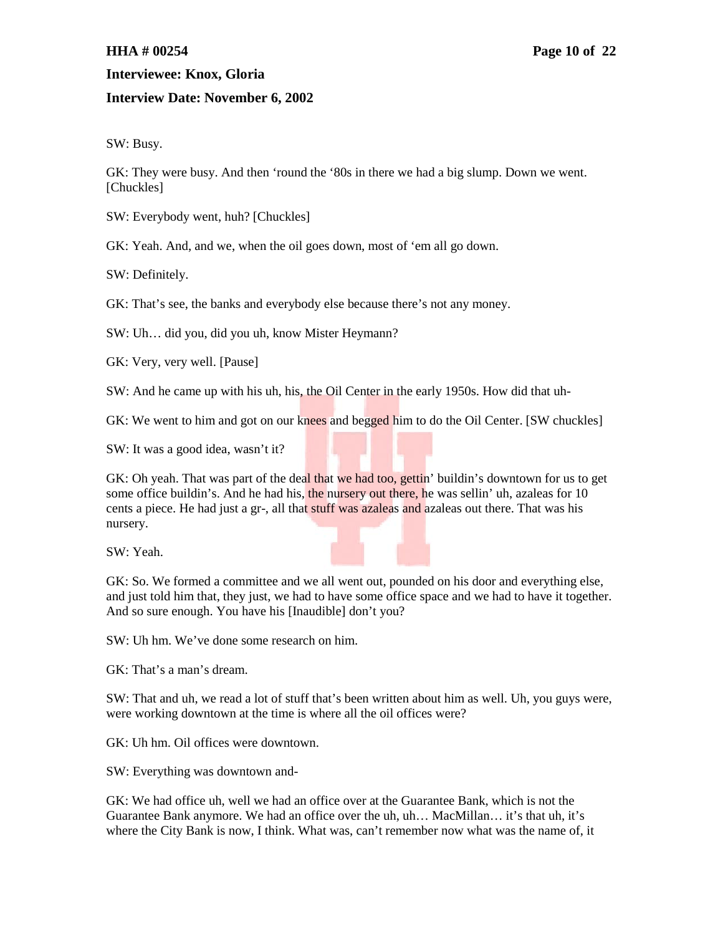# **Interview Date: November 6, 2002**

SW: Busy.

GK: They were busy. And then 'round the '80s in there we had a big slump. Down we went. [Chuckles]

SW: Everybody went, huh? [Chuckles]

GK: Yeah. And, and we, when the oil goes down, most of 'em all go down.

SW: Definitely.

GK: That's see, the banks and everybody else because there's not any money.

SW: Uh… did you, did you uh, know Mister Heymann?

GK: Very, very well. [Pause]

SW: And he came up with his uh, his, the Oil Center in the early 1950s. How did that uh-

GK: We went to him and got on our knees and begged him to do the Oil Center. [SW chuckles]

SW: It was a good idea, wasn't it?

GK: Oh yeah. That was part of the deal that we had too, gettin' buildin's downtown for us to get some office buildin's. And he had his, the nursery out there, he was sellin' uh, azaleas for 10 cents a piece. He had just a gr-, all that stuff was azaleas and azaleas out there. That was his nursery.

SW: Yeah.

GK: So. We formed a committee and we all went out, pounded on his door and everything else, and just told him that, they just, we had to have some office space and we had to have it together. And so sure enough. You have his [Inaudible] don't you?

SW: Uh hm. We've done some research on him.

GK: That's a man's dream.

SW: That and uh, we read a lot of stuff that's been written about him as well. Uh, you guys were, were working downtown at the time is where all the oil offices were?

GK: Uh hm. Oil offices were downtown.

SW: Everything was downtown and-

GK: We had office uh, well we had an office over at the Guarantee Bank, which is not the Guarantee Bank anymore. We had an office over the uh, uh… MacMillan… it's that uh, it's where the City Bank is now, I think. What was, can't remember now what was the name of, it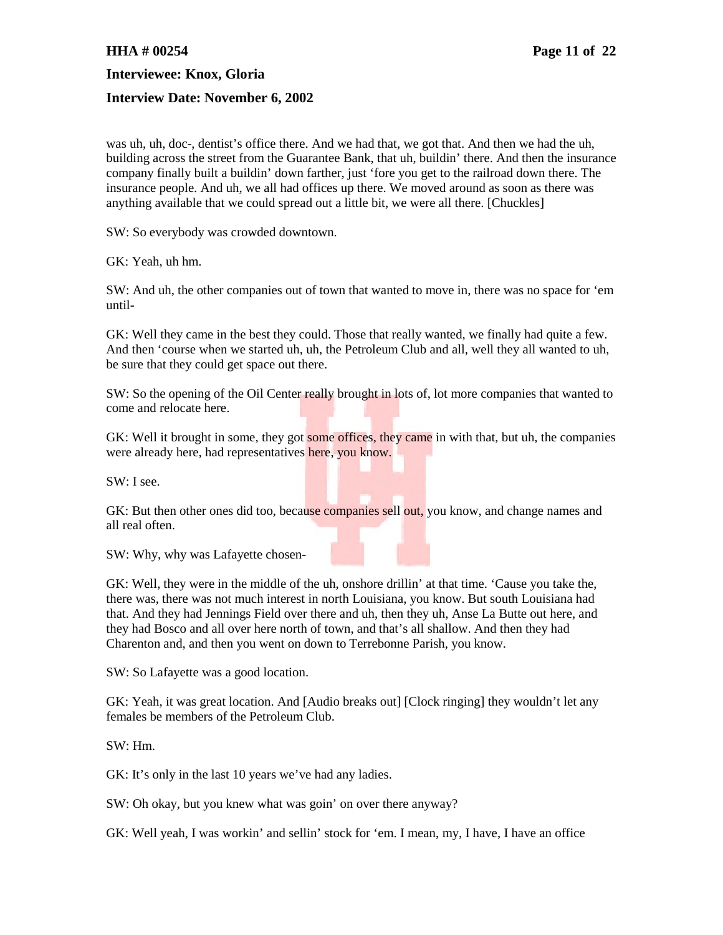#### **Interview Date: November 6, 2002**

was uh, uh, doc-, dentist's office there. And we had that, we got that. And then we had the uh, building across the street from the Guarantee Bank, that uh, buildin' there. And then the insurance company finally built a buildin' down farther, just 'fore you get to the railroad down there. The insurance people. And uh, we all had offices up there. We moved around as soon as there was anything available that we could spread out a little bit, we were all there. [Chuckles]

SW: So everybody was crowded downtown.

GK: Yeah, uh hm.

SW: And uh, the other companies out of town that wanted to move in, there was no space for 'em until-

GK: Well they came in the best they could. Those that really wanted, we finally had quite a few. And then 'course when we started uh, uh, the Petroleum Club and all, well they all wanted to uh, be sure that they could get space out there.

SW: So the opening of the Oil Center really brought in lots of, lot more companies that wanted to come and relocate here.

GK: Well it brought in some, they got some offices, they came in with that, but uh, the companies were already here, had representatives here, you know.

SW: I see.

GK: But then other ones did too, because companies sell out, you know, and change names and all real often.

SW: Why, why was Lafayette chosen-

GK: Well, they were in the middle of the uh, onshore drillin' at that time. 'Cause you take the, there was, there was not much interest in north Louisiana, you know. But south Louisiana had that. And they had Jennings Field over there and uh, then they uh, Anse La Butte out here, and they had Bosco and all over here north of town, and that's all shallow. And then they had Charenton and, and then you went on down to Terrebonne Parish, you know.

SW: So Lafayette was a good location.

GK: Yeah, it was great location. And [Audio breaks out] [Clock ringing] they wouldn't let any females be members of the Petroleum Club.

SW: Hm.

GK: It's only in the last 10 years we've had any ladies.

SW: Oh okay, but you knew what was goin' on over there anyway?

GK: Well yeah, I was workin' and sellin' stock for 'em. I mean, my, I have, I have an office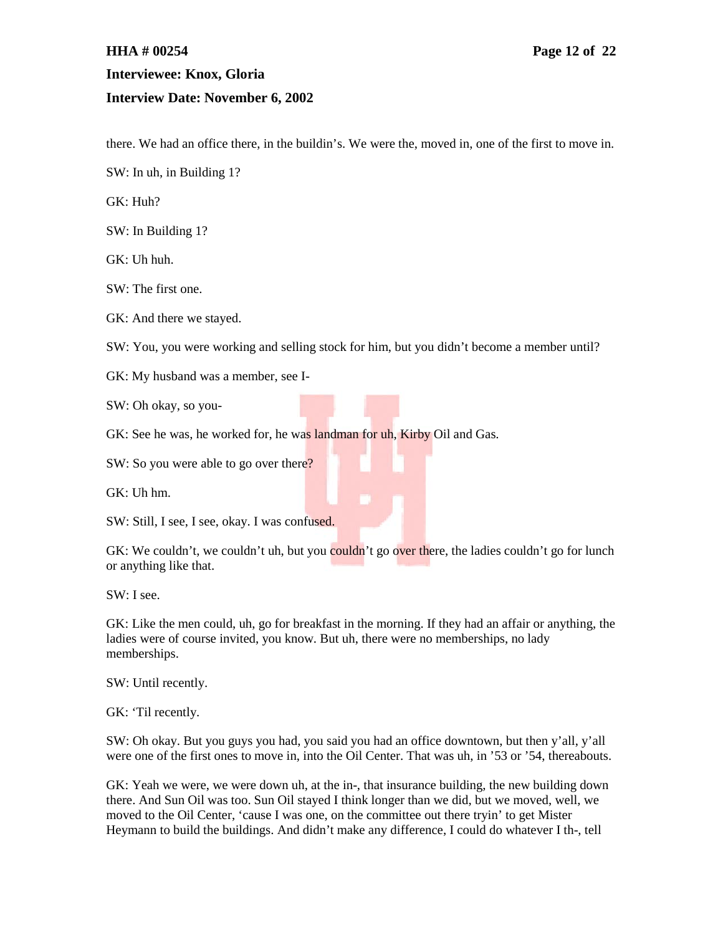# **HHA # 00254 Page 12 of 22 Interviewee: Knox, Gloria Interview Date: November 6, 2002**

there. We had an office there, in the buildin's. We were the, moved in, one of the first to move in.

SW: In uh, in Building 1?

GK: Huh?

SW: In Building 1?

GK: Uh huh.

SW: The first one.

GK: And there we stayed.

SW: You, you were working and selling stock for him, but you didn't become a member until?

GK: My husband was a member, see I-

SW: Oh okay, so you-

GK: See he was, he worked for, he was landman for uh, Kirby Oil and Gas.

SW: So you were able to go over there?

GK: Uh hm.

SW: Still, I see, I see, okay. I was confused.

GK: We couldn't, we couldn't uh, but you couldn't go over there, the ladies couldn't go for lunch or anything like that.

SW: I see.

GK: Like the men could, uh, go for breakfast in the morning. If they had an affair or anything, the ladies were of course invited, you know. But uh, there were no memberships, no lady memberships.

SW: Until recently.

GK: 'Til recently.

SW: Oh okay. But you guys you had, you said you had an office downtown, but then y'all, y'all were one of the first ones to move in, into the Oil Center. That was uh, in '53 or '54, thereabouts.

GK: Yeah we were, we were down uh, at the in-, that insurance building, the new building down there. And Sun Oil was too. Sun Oil stayed I think longer than we did, but we moved, well, we moved to the Oil Center, 'cause I was one, on the committee out there tryin' to get Mister Heymann to build the buildings. And didn't make any difference, I could do whatever I th-, tell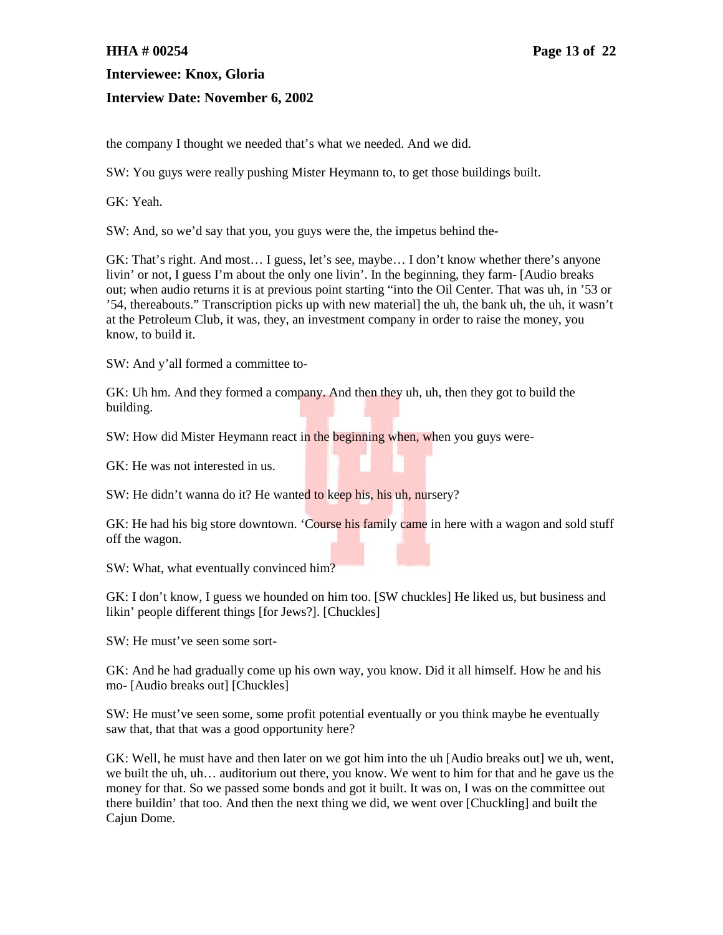#### **Interview Date: November 6, 2002**

the company I thought we needed that's what we needed. And we did.

SW: You guys were really pushing Mister Heymann to, to get those buildings built.

GK: Yeah.

SW: And, so we'd say that you, you guys were the, the impetus behind the-

GK: That's right. And most… I guess, let's see, maybe… I don't know whether there's anyone livin' or not, I guess I'm about the only one livin'. In the beginning, they farm- [Audio breaks out; when audio returns it is at previous point starting "into the Oil Center. That was uh, in '53 or '54, thereabouts." Transcription picks up with new material] the uh, the bank uh, the uh, it wasn't at the Petroleum Club, it was, they, an investment company in order to raise the money, you know, to build it.

SW: And y'all formed a committee to-

GK: Uh hm. And they formed a company. And then they uh, uh, then they got to build the building.

SW: How did Mister Heymann react in the beginning when, when you guys were-

GK: He was not interested in us.

SW: He didn't wanna do it? He wanted to keep his, his uh, nursery?

GK: He had his big store downtown. 'Course his family came in here with a wagon and sold stuff off the wagon.

SW: What, what eventually convinced him?

GK: I don't know, I guess we hounded on him too. [SW chuckles] He liked us, but business and likin' people different things [for Jews?]. [Chuckles]

SW: He must've seen some sort-

GK: And he had gradually come up his own way, you know. Did it all himself. How he and his mo- [Audio breaks out] [Chuckles]

SW: He must've seen some, some profit potential eventually or you think maybe he eventually saw that, that that was a good opportunity here?

GK: Well, he must have and then later on we got him into the uh [Audio breaks out] we uh, went, we built the uh, uh… auditorium out there, you know. We went to him for that and he gave us the money for that. So we passed some bonds and got it built. It was on, I was on the committee out there buildin' that too. And then the next thing we did, we went over [Chuckling] and built the Cajun Dome.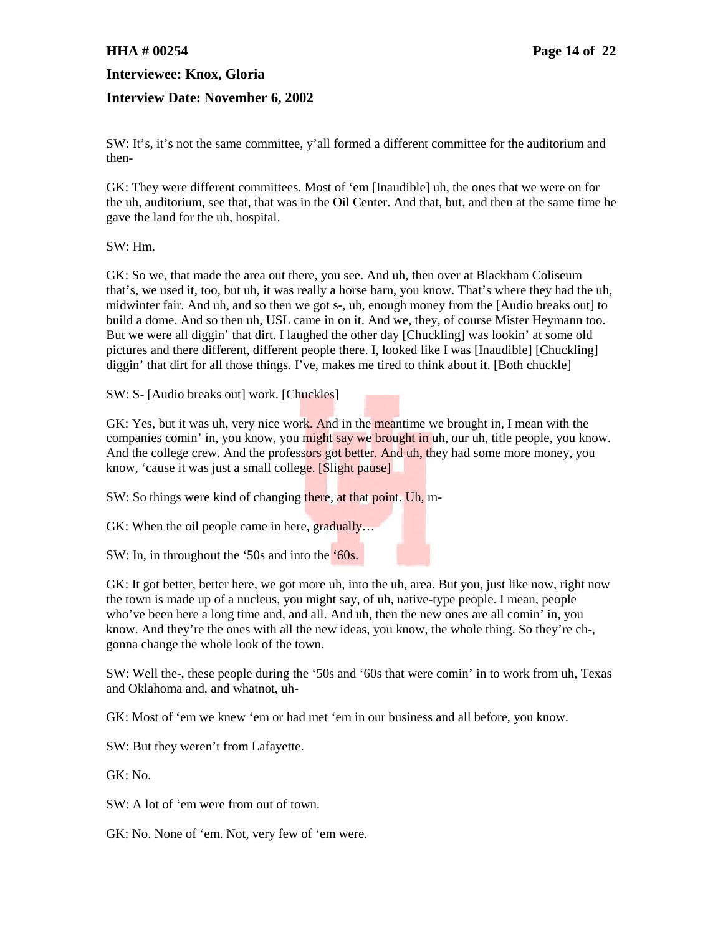### **Interview Date: November 6, 2002**

SW: It's, it's not the same committee, y'all formed a different committee for the auditorium and then-

GK: They were different committees. Most of 'em [Inaudible] uh, the ones that we were on for the uh, auditorium, see that, that was in the Oil Center. And that, but, and then at the same time he gave the land for the uh, hospital.

SW: Hm.

GK: So we, that made the area out there, you see. And uh, then over at Blackham Coliseum that's, we used it, too, but uh, it was really a horse barn, you know. That's where they had the uh, midwinter fair. And uh, and so then we got s-, uh, enough money from the [Audio breaks out] to build a dome. And so then uh, USL came in on it. And we, they, of course Mister Heymann too. But we were all diggin' that dirt. I laughed the other day [Chuckling] was lookin' at some old pictures and there different, different people there. I, looked like I was [Inaudible] [Chuckling] diggin' that dirt for all those things. I've, makes me tired to think about it. [Both chuckle]

SW: S- [Audio breaks out] work. [Chuckles]

GK: Yes, but it was uh, very nice work. And in the meantime we brought in, I mean with the companies comin' in, you know, you might say we brought in uh, our uh, title people, you know. And the college crew. And the professors got better. And uh, they had some more money, you know, 'cause it was just a small college. [Slight pause]

SW: So things were kind of changing there, at that point. Uh, m-

GK: When the oil people came in here, gradually...

SW: In, in throughout the '50s and into the '60s.

GK: It got better, better here, we got more uh, into the uh, area. But you, just like now, right now the town is made up of a nucleus, you might say, of uh, native-type people. I mean, people who've been here a long time and, and all. And uh, then the new ones are all comin' in, you know. And they're the ones with all the new ideas, you know, the whole thing. So they're ch-, gonna change the whole look of the town.

SW: Well the-, these people during the '50s and '60s that were comin' in to work from uh, Texas and Oklahoma and, and whatnot, uh-

GK: Most of 'em we knew 'em or had met 'em in our business and all before, you know.

SW: But they weren't from Lafayette.

GK: No.

SW: A lot of 'em were from out of town.

GK: No. None of 'em. Not, very few of 'em were.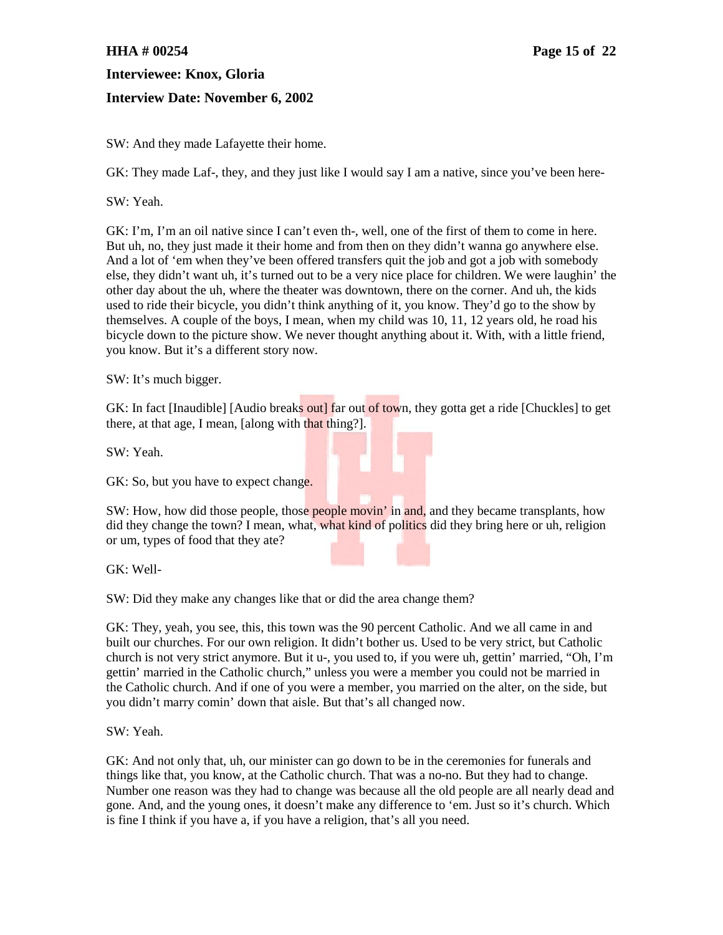### **Interview Date: November 6, 2002**

SW: And they made Lafayette their home.

GK: They made Laf-, they, and they just like I would say I am a native, since you've been here-

SW: Yeah.

GK: I'm, I'm an oil native since I can't even th-, well, one of the first of them to come in here. But uh, no, they just made it their home and from then on they didn't wanna go anywhere else. And a lot of 'em when they've been offered transfers quit the job and got a job with somebody else, they didn't want uh, it's turned out to be a very nice place for children. We were laughin' the other day about the uh, where the theater was downtown, there on the corner. And uh, the kids used to ride their bicycle, you didn't think anything of it, you know. They'd go to the show by themselves. A couple of the boys, I mean, when my child was 10, 11, 12 years old, he road his bicycle down to the picture show. We never thought anything about it. With, with a little friend, you know. But it's a different story now.

SW: It's much bigger.

GK: In fact [Inaudible] [Audio breaks out] far out of town, they gotta get a ride [Chuckles] to get there, at that age, I mean, [along with that thing?].

SW: Yeah.

GK: So, but you have to expect change.

SW: How, how did those people, those people movin' in and, and they became transplants, how did they change the town? I mean, what, what kind of politics did they bring here or uh, religion or um, types of food that they ate?

GK: Well-

SW: Did they make any changes like that or did the area change them?

GK: They, yeah, you see, this, this town was the 90 percent Catholic. And we all came in and built our churches. For our own religion. It didn't bother us. Used to be very strict, but Catholic church is not very strict anymore. But it u-, you used to, if you were uh, gettin' married, "Oh, I'm gettin' married in the Catholic church," unless you were a member you could not be married in the Catholic church. And if one of you were a member, you married on the alter, on the side, but you didn't marry comin' down that aisle. But that's all changed now.

SW: Yeah.

GK: And not only that, uh, our minister can go down to be in the ceremonies for funerals and things like that, you know, at the Catholic church. That was a no-no. But they had to change. Number one reason was they had to change was because all the old people are all nearly dead and gone. And, and the young ones, it doesn't make any difference to 'em. Just so it's church. Which is fine I think if you have a, if you have a religion, that's all you need.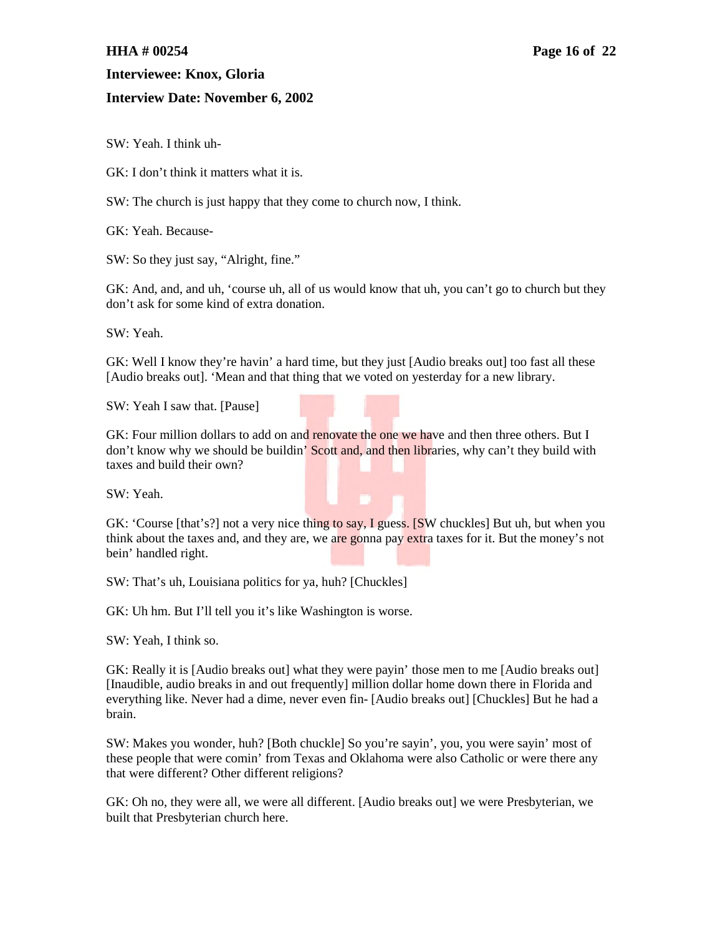### **Interview Date: November 6, 2002**

SW: Yeah. I think uh-

GK: I don't think it matters what it is.

SW: The church is just happy that they come to church now, I think.

GK: Yeah. Because-

SW: So they just say, "Alright, fine."

GK: And, and, and uh, 'course uh, all of us would know that uh, you can't go to church but they don't ask for some kind of extra donation.

SW: Yeah.

GK: Well I know they're havin' a hard time, but they just [Audio breaks out] too fast all these [Audio breaks out]. 'Mean and that thing that we voted on yesterday for a new library.

SW: Yeah I saw that. [Pause]



GK: Four million dollars to add on and renovate the one we have and then three others. But I don't know why we should be buildin' Scott and, and then libraries, why can't they build with taxes and build their own?

SW: Yeah.

GK: 'Course [that's?] not a very nice thing to say, I guess. [SW chuckles] But uh, but when you think about the taxes and, and they are, we are gonna pay extra taxes for it. But the money's not bein' handled right.

SW: That's uh, Louisiana politics for ya, huh? [Chuckles]

GK: Uh hm. But I'll tell you it's like Washington is worse.

SW: Yeah, I think so.

GK: Really it is [Audio breaks out] what they were payin' those men to me [Audio breaks out] [Inaudible, audio breaks in and out frequently] million dollar home down there in Florida and everything like. Never had a dime, never even fin- [Audio breaks out] [Chuckles] But he had a brain.

SW: Makes you wonder, huh? [Both chuckle] So you're sayin', you, you were sayin' most of these people that were comin' from Texas and Oklahoma were also Catholic or were there any that were different? Other different religions?

GK: Oh no, they were all, we were all different. [Audio breaks out] we were Presbyterian, we built that Presbyterian church here.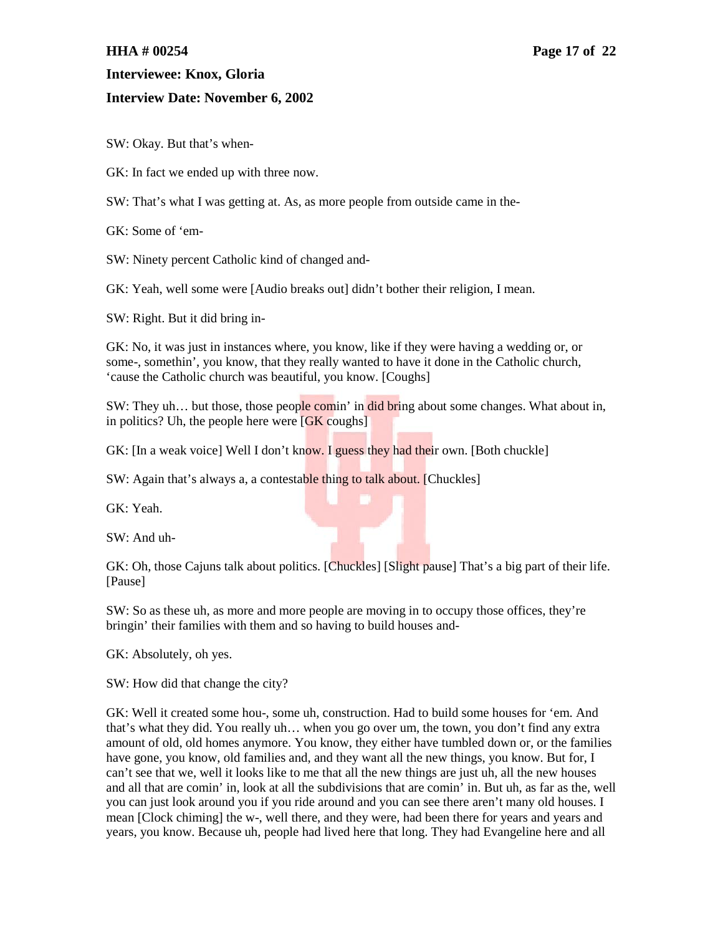#### **Interview Date: November 6, 2002**

SW: Okay. But that's when-

GK: In fact we ended up with three now.

SW: That's what I was getting at. As, as more people from outside came in the-

GK: Some of 'em-

SW: Ninety percent Catholic kind of changed and-

GK: Yeah, well some were [Audio breaks out] didn't bother their religion, I mean.

SW: Right. But it did bring in-

GK: No, it was just in instances where, you know, like if they were having a wedding or, or some-, somethin', you know, that they really wanted to have it done in the Catholic church, 'cause the Catholic church was beautiful, you know. [Coughs]

SW: They uh... but those, those people comin' in did bring about some changes. What about in, in politics? Uh, the people here were [GK coughs]

GK: [In a weak voice] Well I don't know. I guess they had their own. [Both chuckle]

SW: Again that's always a, a contestable thing to talk about. [Chuckles]

GK: Yeah.

SW: And uh-

GK: Oh, those Cajuns talk about politics. [Chuckles] [Slight pause] That's a big part of their life. [Pause]

SW: So as these uh, as more and more people are moving in to occupy those offices, they're bringin' their families with them and so having to build houses and-

GK: Absolutely, oh yes.

SW: How did that change the city?

GK: Well it created some hou-, some uh, construction. Had to build some houses for 'em. And that's what they did. You really uh… when you go over um, the town, you don't find any extra amount of old, old homes anymore. You know, they either have tumbled down or, or the families have gone, you know, old families and, and they want all the new things, you know. But for, I can't see that we, well it looks like to me that all the new things are just uh, all the new houses and all that are comin' in, look at all the subdivisions that are comin' in. But uh, as far as the, well you can just look around you if you ride around and you can see there aren't many old houses. I mean [Clock chiming] the w-, well there, and they were, had been there for years and years and years, you know. Because uh, people had lived here that long. They had Evangeline here and all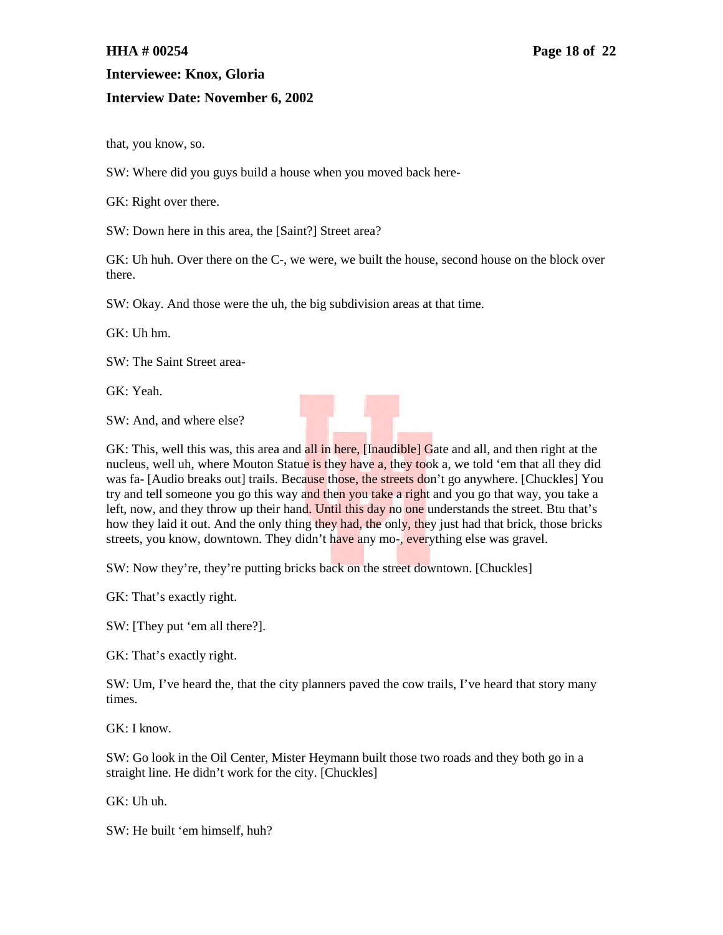#### **Interview Date: November 6, 2002**

that, you know, so.

SW: Where did you guys build a house when you moved back here-

GK: Right over there.

SW: Down here in this area, the [Saint?] Street area?

GK: Uh huh. Over there on the C-, we were, we built the house, second house on the block over there.

SW: Okay. And those were the uh, the big subdivision areas at that time.

GK: Uh hm.

SW: The Saint Street area-

GK: Yeah.

SW: And, and where else?



GK: This, well this was, this area and all in here, *[Inaudible]* Gate and all, and then right at the nucleus, well uh, where Mouton Statue is they have a, they took a, we told 'em that all they did was fa- [Audio breaks out] trails. Because those, the streets don't go anywhere. [Chuckles] You try and tell someone you go this way and then you take a right and you go that way, you take a left, now, and they throw up their hand. Until this day no one understands the street. Btu that's how they laid it out. And the only thing they had, the only, they just had that brick, those bricks streets, you know, downtown. They didn't have any mo-, everything else was gravel.

SW: Now they're, they're putting bricks back on the street downtown. [Chuckles]

GK: That's exactly right.

SW: [They put 'em all there?].

GK: That's exactly right.

SW: Um, I've heard the, that the city planners paved the cow trails, I've heard that story many times.

GK: I know.

SW: Go look in the Oil Center, Mister Heymann built those two roads and they both go in a straight line. He didn't work for the city. [Chuckles]

GK: Uh uh.

SW: He built 'em himself, huh?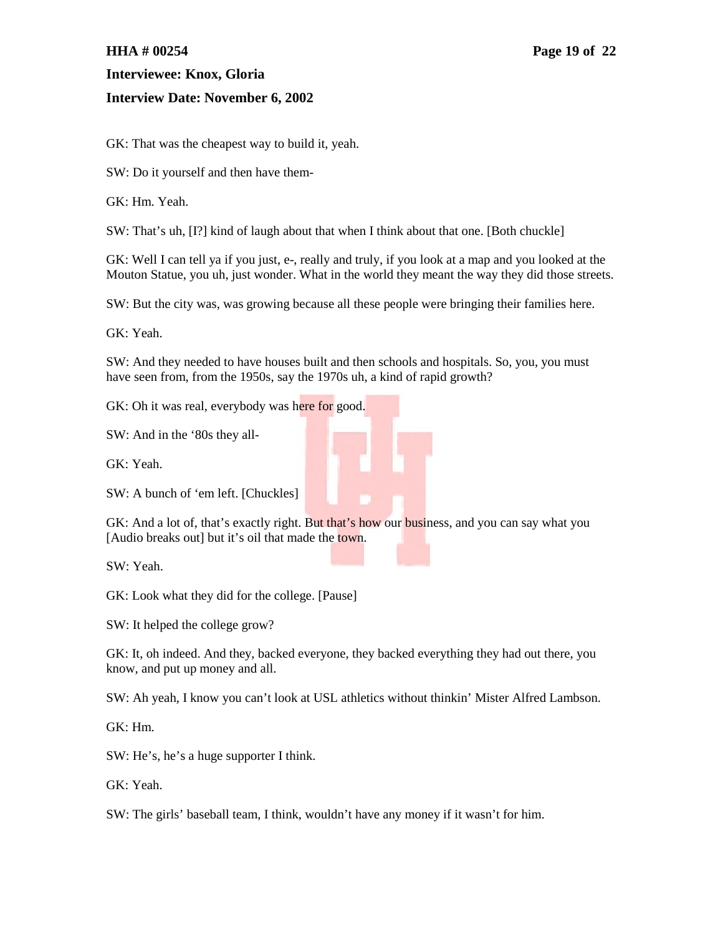### **Interview Date: November 6, 2002**

GK: That was the cheapest way to build it, yeah.

SW: Do it yourself and then have them-

GK: Hm. Yeah.

SW: That's uh, [I?] kind of laugh about that when I think about that one. [Both chuckle]

GK: Well I can tell ya if you just, e-, really and truly, if you look at a map and you looked at the Mouton Statue, you uh, just wonder. What in the world they meant the way they did those streets.

SW: But the city was, was growing because all these people were bringing their families here.

GK: Yeah.

SW: And they needed to have houses built and then schools and hospitals. So, you, you must have seen from, from the 1950s, say the 1970s uh, a kind of rapid growth?

GK: Oh it was real, everybody was here for good.

SW: And in the '80s they all-

GK: Yeah.

SW: A bunch of 'em left. [Chuckles]

GK: And a lot of, that's exactly right. But that's how our business, and you can say what you [Audio breaks out] but it's oil that made the town.

SW: Yeah.

GK: Look what they did for the college. [Pause]

SW: It helped the college grow?

GK: It, oh indeed. And they, backed everyone, they backed everything they had out there, you know, and put up money and all.

SW: Ah yeah, I know you can't look at USL athletics without thinkin' Mister Alfred Lambson.

GK: Hm.

SW: He's, he's a huge supporter I think.

GK: Yeah.

SW: The girls' baseball team, I think, wouldn't have any money if it wasn't for him.

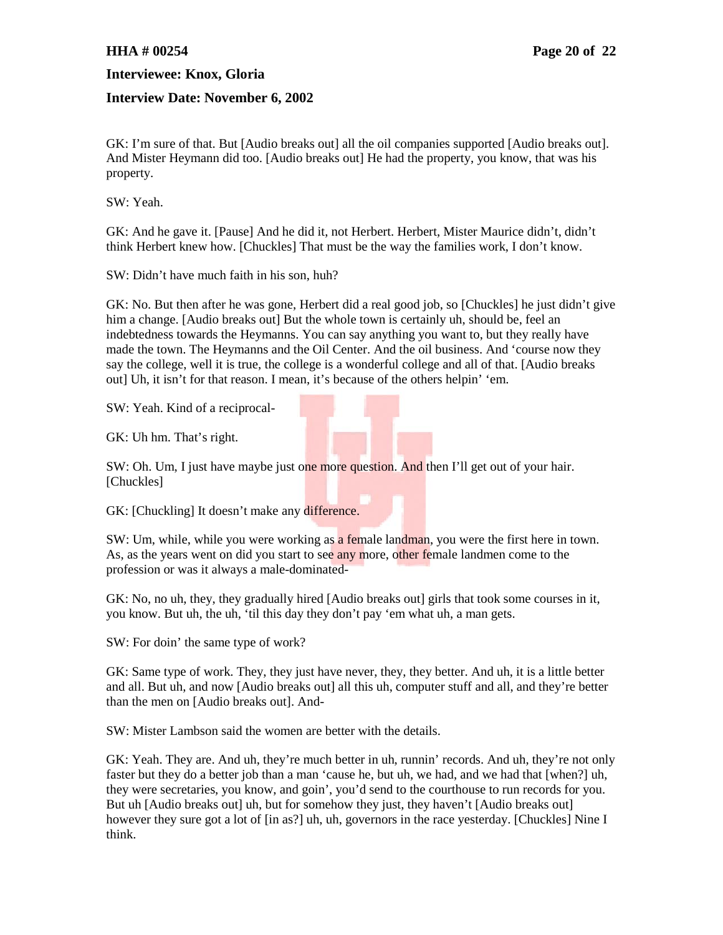### **Interview Date: November 6, 2002**

GK: I'm sure of that. But [Audio breaks out] all the oil companies supported [Audio breaks out]. And Mister Heymann did too. [Audio breaks out] He had the property, you know, that was his property.

SW: Yeah.

GK: And he gave it. [Pause] And he did it, not Herbert. Herbert, Mister Maurice didn't, didn't think Herbert knew how. [Chuckles] That must be the way the families work, I don't know.

SW: Didn't have much faith in his son, huh?

GK: No. But then after he was gone, Herbert did a real good job, so [Chuckles] he just didn't give him a change. [Audio breaks out] But the whole town is certainly uh, should be, feel an indebtedness towards the Heymanns. You can say anything you want to, but they really have made the town. The Heymanns and the Oil Center. And the oil business. And 'course now they say the college, well it is true, the college is a wonderful college and all of that. [Audio breaks out] Uh, it isn't for that reason. I mean, it's because of the others helpin' 'em.

SW: Yeah. Kind of a reciprocal-

GK: Uh hm. That's right.

SW: Oh. Um, I just have maybe just one more question. And then I'll get out of your hair. [Chuckles]

GK: [Chuckling] It doesn't make any difference.

SW: Um, while, while you were working as a female landman, you were the first here in town. As, as the years went on did you start to see any more, other female landmen come to the profession or was it always a male-dominated-

GK: No, no uh, they, they gradually hired [Audio breaks out] girls that took some courses in it, you know. But uh, the uh, 'til this day they don't pay 'em what uh, a man gets.

SW: For doin' the same type of work?

GK: Same type of work. They, they just have never, they, they better. And uh, it is a little better and all. But uh, and now [Audio breaks out] all this uh, computer stuff and all, and they're better than the men on [Audio breaks out]. And-

SW: Mister Lambson said the women are better with the details.

GK: Yeah. They are. And uh, they're much better in uh, runnin' records. And uh, they're not only faster but they do a better job than a man 'cause he, but uh, we had, and we had that [when?] uh, they were secretaries, you know, and goin', you'd send to the courthouse to run records for you. But uh [Audio breaks out] uh, but for somehow they just, they haven't [Audio breaks out] however they sure got a lot of [in as?] uh, uh, governors in the race yesterday. [Chuckles] Nine I think.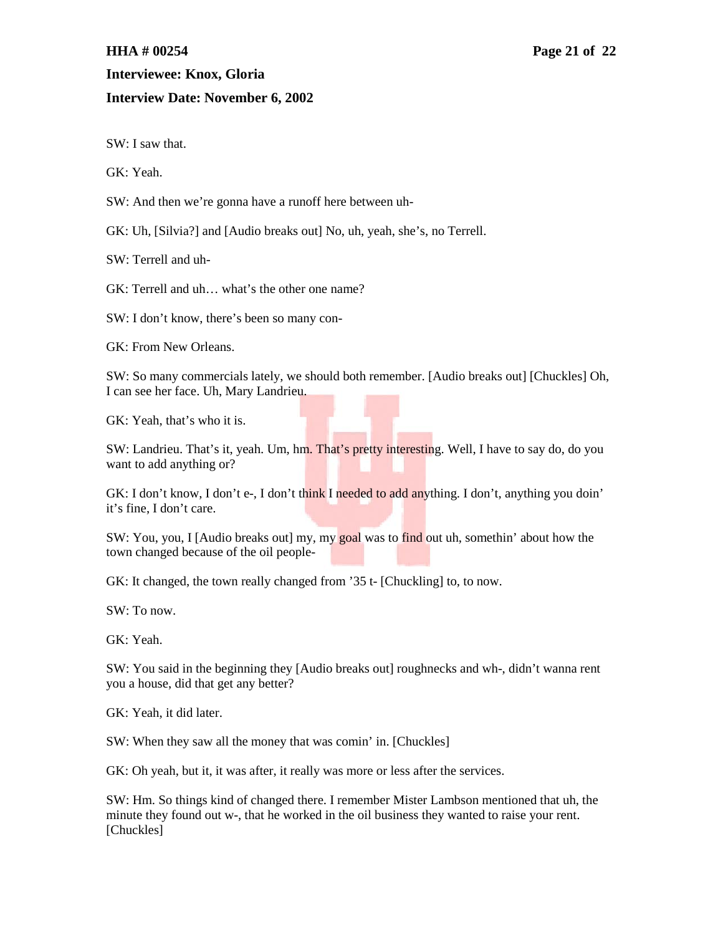### **Interview Date: November 6, 2002**

SW: I saw that.

GK: Yeah.

SW: And then we're gonna have a runoff here between uh-

GK: Uh, [Silvia?] and [Audio breaks out] No, uh, yeah, she's, no Terrell.

SW: Terrell and uh-

GK: Terrell and uh… what's the other one name?

SW: I don't know, there's been so many con-

GK: From New Orleans.

SW: So many commercials lately, we should both remember. [Audio breaks out] [Chuckles] Oh, I can see her face. Uh, Mary Landrieu.

GK: Yeah, that's who it is.

SW: Landrieu. That's it, yeah. Um, hm. That's pretty interesting. Well, I have to say do, do you want to add anything or?

GK: I don't know, I don't e-, I don't think I needed to add anything. I don't, anything you doin' it's fine, I don't care.

SW: You, you, I [Audio breaks out] my, my goal was to find out uh, somethin' about how the town changed because of the oil people-

GK: It changed, the town really changed from '35 t- [Chuckling] to, to now.

SW: To now.

GK: Yeah.

SW: You said in the beginning they [Audio breaks out] roughnecks and wh-, didn't wanna rent you a house, did that get any better?

GK: Yeah, it did later.

SW: When they saw all the money that was comin' in. [Chuckles]

GK: Oh yeah, but it, it was after, it really was more or less after the services.

SW: Hm. So things kind of changed there. I remember Mister Lambson mentioned that uh, the minute they found out w-, that he worked in the oil business they wanted to raise your rent. [Chuckles]